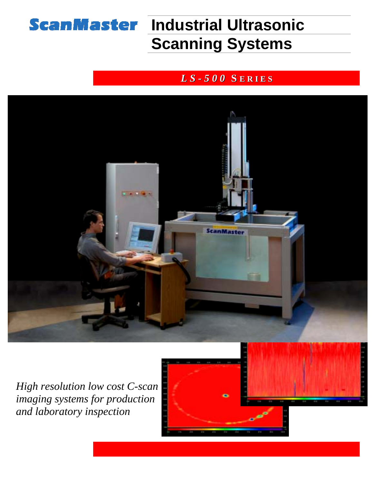

# **ScanMaster Industrial Ultrasonic Scanning Systems**

### *L S - 5 0 0* **S E R I E S**



*High resolution low cost C-scan imaging systems for production and laboratory inspection*

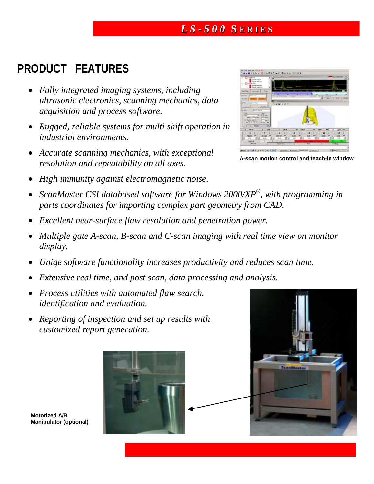#### *L S - 5 0 0* **S E R I E S**

# **PRODUCT FEATURES**

- *Fully integrated imaging systems, including ultrasonic electronics, scanning mechanics, data acquisition and process software.*
- *Rugged, reliable systems for multi shift operation in industrial environments.*
- *Accurate scanning mechanics, with exceptional resolution and repeatability on all axes.*
- *High immunity against electromagnetic noise.*
- *ScanMaster CSI databased software for Windows 2000/XP®, with programming in parts coordinates for importing complex part geometry from CAD.*
- *Excellent near-surface flaw resolution and penetration power.*
- *Multiple gate A-scan, B-scan and C-scan imaging with real time view on monitor display.*
- *Uniqe software functionality increases productivity and reduces scan time.*
- *Extensive real time, and post scan, data processing and analysis.*
- *Process utilities with automated flaw search, identification and evaluation.*
- *Reporting of inspection and set up results with customized report generation.*







**A-scan motion control and teach-in window**

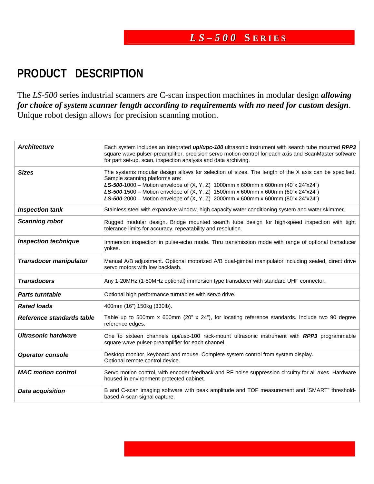# **RODUCT DESCRIPTION P**

The LS-500 series industrial scanners are C-scan inspection machines in modular design *allowing* for choice of system scanner length according to requirements with no need for custom design. Unique robot design allows for precision scanning motion.

| <b>Architecture</b>           | Each system includes an integrated <i>upi/upc-100</i> ultrasonic instrument with search tube mounted RPP3<br>square wave pulser-preamplifier, precision servo motion control for each axis and ScanMaster software<br>for part set-up, scan, inspection analysis and data archiving.                                                                                                               |  |  |  |  |
|-------------------------------|----------------------------------------------------------------------------------------------------------------------------------------------------------------------------------------------------------------------------------------------------------------------------------------------------------------------------------------------------------------------------------------------------|--|--|--|--|
| <b>Sizes</b>                  | The systems modular design allows for selection of sizes. The length of the X axis can be specified.<br>Sample scanning platforms are:<br>LS-500-1000 - Motion envelope of (X, Y, Z) 1000mm x 600mm x 600mm (40"x 24"x24")<br>LS-500-1500 - Motion envelope of (X, Y, Z) 1500mm x 600mm x 600mm (60"x 24"x24")<br>LS-500-2000 - Motion envelope of (X, Y, Z) 2000mm x 600mm x 600mm (80"x 24"x24") |  |  |  |  |
| <b>Inspection tank</b>        | Stainless steel with expansive window, high capacity water conditioning system and water skimmer.                                                                                                                                                                                                                                                                                                  |  |  |  |  |
| <b>Scanning robot</b>         | Rugged modular design. Bridge mounted search tube design for high-speed inspection with tight<br>tolerance limits for accuracy, repeatability and resolution.                                                                                                                                                                                                                                      |  |  |  |  |
| <b>Inspection technique</b>   | Immersion inspection in pulse-echo mode. Thru transmission mode with range of optional transducer<br>yokes.                                                                                                                                                                                                                                                                                        |  |  |  |  |
| <b>Transducer manipulator</b> | Manual A/B adjustment. Optional motorized A/B dual-gimbal manipulator including sealed, direct drive<br>servo motors with low backlash.                                                                                                                                                                                                                                                            |  |  |  |  |
| <b>Transducers</b>            | Any 1-20MHz (1-50MHz optional) immersion type transducer with standard UHF connector.                                                                                                                                                                                                                                                                                                              |  |  |  |  |
| <b>Parts turntable</b>        | Optional high performance turntables with servo drive.                                                                                                                                                                                                                                                                                                                                             |  |  |  |  |
| <b>Rated loads</b>            | 400mm (16") 150kg (330lb).                                                                                                                                                                                                                                                                                                                                                                         |  |  |  |  |
| Reference standards table     | Table up to 500mm x 600mm (20" x 24"), for locating reference standards. Include two 90 degree<br>reference edges.                                                                                                                                                                                                                                                                                 |  |  |  |  |
| <b>Ultrasonic hardware</b>    | One to sixteen channels upi/usc-100 rack-mount ultrasonic instrument with RPP3 programmable<br>square wave pulser-preamplifier for each channel.                                                                                                                                                                                                                                                   |  |  |  |  |
| <b>Operator console</b>       | Desktop monitor, keyboard and mouse. Complete system control from system display.<br>Optional remote control device.                                                                                                                                                                                                                                                                               |  |  |  |  |
| <b>MAC motion control</b>     | Servo motion control, with encoder feedback and RF noise suppression circuitry for all axes. Hardware<br>housed in environment-protected cabinet.                                                                                                                                                                                                                                                  |  |  |  |  |
| <b>Data acquisition</b>       | B and C-scan imaging software with peak amplitude and TOF measurement and 'SMART" threshold-<br>based A-scan signal capture.                                                                                                                                                                                                                                                                       |  |  |  |  |